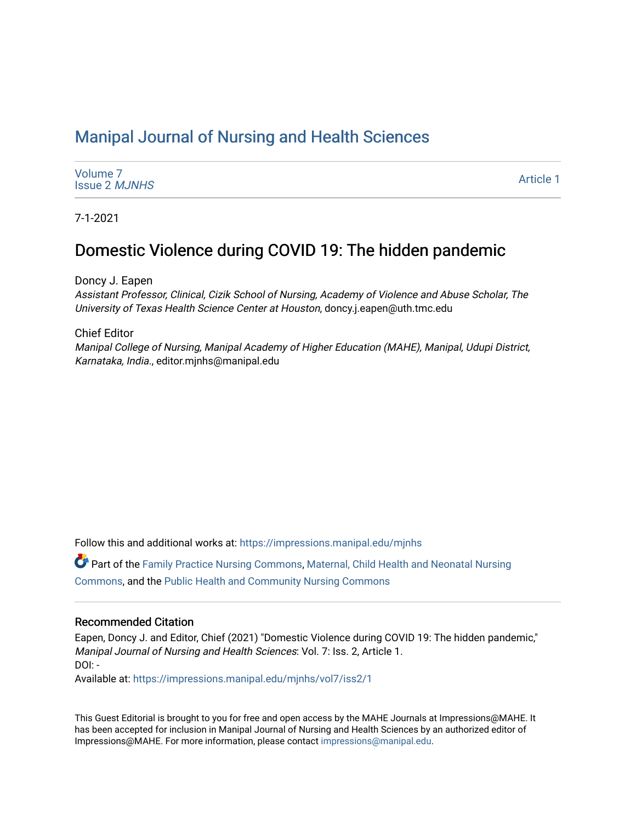## [Manipal Journal of Nursing and Health Sciences](https://impressions.manipal.edu/mjnhs)

| Volume 7             |  |
|----------------------|--|
| <b>Issue 2 MJNHS</b> |  |

[Article 1](https://impressions.manipal.edu/mjnhs/vol7/iss2/1) 

7-1-2021

# Domestic Violence during COVID 19: The hidden pandemic

Doncy J. Eapen

Assistant Professor, Clinical, Cizik School of Nursing, Academy of Violence and Abuse Scholar, The University of Texas Health Science Center at Houston, doncy.j.eapen@uth.tmc.edu

Chief Editor

Manipal College of Nursing, Manipal Academy of Higher Education (MAHE), Manipal, Udupi District, Karnataka, India., editor.mjnhs@manipal.edu

Follow this and additional works at: [https://impressions.manipal.edu/mjnhs](https://impressions.manipal.edu/mjnhs?utm_source=impressions.manipal.edu%2Fmjnhs%2Fvol7%2Fiss2%2F1&utm_medium=PDF&utm_campaign=PDFCoverPages) 

Part of the [Family Practice Nursing Commons](http://network.bepress.com/hgg/discipline/720?utm_source=impressions.manipal.edu%2Fmjnhs%2Fvol7%2Fiss2%2F1&utm_medium=PDF&utm_campaign=PDFCoverPages), [Maternal, Child Health and Neonatal Nursing](http://network.bepress.com/hgg/discipline/721?utm_source=impressions.manipal.edu%2Fmjnhs%2Fvol7%2Fiss2%2F1&utm_medium=PDF&utm_campaign=PDFCoverPages) [Commons](http://network.bepress.com/hgg/discipline/721?utm_source=impressions.manipal.edu%2Fmjnhs%2Fvol7%2Fiss2%2F1&utm_medium=PDF&utm_campaign=PDFCoverPages), and the [Public Health and Community Nursing Commons](http://network.bepress.com/hgg/discipline/725?utm_source=impressions.manipal.edu%2Fmjnhs%2Fvol7%2Fiss2%2F1&utm_medium=PDF&utm_campaign=PDFCoverPages) 

### Recommended Citation

Eapen, Doncy J. and Editor, Chief (2021) "Domestic Violence during COVID 19: The hidden pandemic," Manipal Journal of Nursing and Health Sciences: Vol. 7: Iss. 2, Article 1. DOI: -

Available at: [https://impressions.manipal.edu/mjnhs/vol7/iss2/1](https://impressions.manipal.edu/mjnhs/vol7/iss2/1?utm_source=impressions.manipal.edu%2Fmjnhs%2Fvol7%2Fiss2%2F1&utm_medium=PDF&utm_campaign=PDFCoverPages) 

This Guest Editorial is brought to you for free and open access by the MAHE Journals at Impressions@MAHE. It has been accepted for inclusion in Manipal Journal of Nursing and Health Sciences by an authorized editor of Impressions@MAHE. For more information, please contact [impressions@manipal.edu](mailto:impressions@manipal.edu).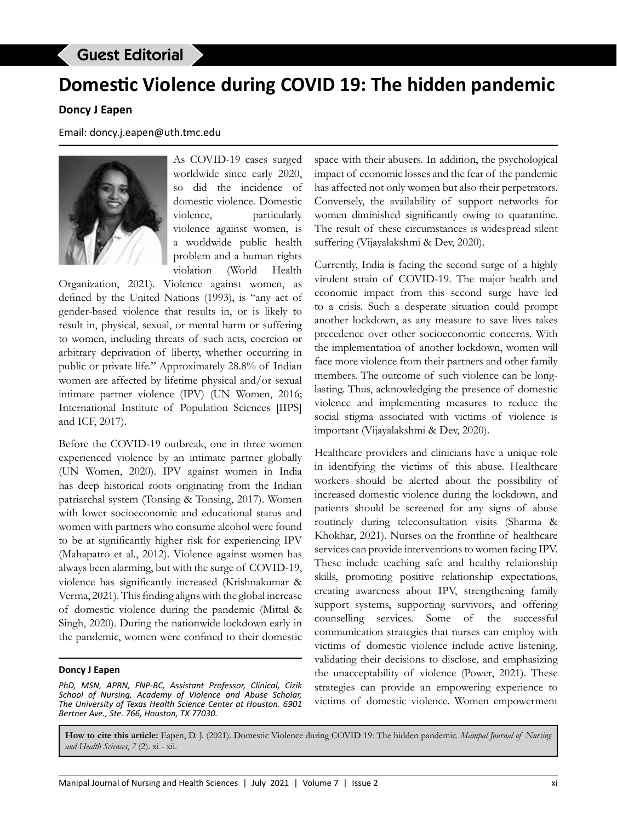## Guest Editorial

# **Domestic Violence during COVID 19: The hidden pandemic**

### **Doncy J Eapen**

Email: doncy.j.eapen@uth.tmc.edu



As COVID-19 cases surged worldwide since early 2020, so did the incidence of domestic violence. Domestic violence, particularly violence against women, is a worldwide public health problem and a human rights violation (World Health

Organization, 2021). Violence against women, as defined by the United Nations (1993), is "any act of gender-based violence that results in, or is likely to result in, physical, sexual, or mental harm or suffering to women, including threats of such acts, coercion or arbitrary deprivation of liberty, whether occurring in public or private life." Approximately 28.8% of Indian women are affected by lifetime physical and/or sexual intimate partner violence (IPV) (UN Women, 2016; International Institute of Population Sciences [IIPS] and ICF, 2017).

Before the COVID-19 outbreak, one in three women experienced violence by an intimate partner globally (UN Women, 2020). IPV against women in India has deep historical roots originating from the Indian patriarchal system (Tonsing & Tonsing, 2017). Women with lower socioeconomic and educational status and women with partners who consume alcohol were found to be at significantly higher risk for experiencing IPV (Mahapatro et al., 2012). Violence against women has always been alarming, but with the surge of COVID-19, violence has significantly increased (Krishnakumar & Verma, 2021). This finding aligns with the global increase of domestic violence during the pandemic (Mittal & Singh, 2020). During the nationwide lockdown early in the pandemic, women were confined to their domestic

#### **Doncy J Eapen**

*PhD, MSN, APRN, FNP-BC, Assistant Professor, Clinical, Cizik School of Nursing, Academy of Violence and Abuse Scholar, The University of Texas Health Science Center at Houston. 6901 Bertner Ave., Ste. 766, Houston, TX 77030.*

space with their abusers. In addition, the psychological impact of economic losses and the fear of the pandemic has affected not only women but also their perpetrators. Conversely, the availability of support networks for women diminished significantly owing to quarantine. The result of these circumstances is widespread silent suffering (Vijayalakshmi & Dev, 2020).

Currently, India is facing the second surge of a highly virulent strain of COVID-19. The major health and economic impact from this second surge have led to a crisis. Such a desperate situation could prompt another lockdown, as any measure to save lives takes precedence over other socioeconomic concerns. With the implementation of another lockdown, women will face more violence from their partners and other family members. The outcome of such violence can be longlasting. Thus, acknowledging the presence of domestic violence and implementing measures to reduce the social stigma associated with victims of violence is important (Vijayalakshmi & Dev, 2020).

Healthcare providers and clinicians have a unique role in identifying the victims of this abuse. Healthcare workers should be alerted about the possibility of increased domestic violence during the lockdown, and patients should be screened for any signs of abuse routinely during teleconsultation visits (Sharma & Khokhar, 2021). Nurses on the frontline of healthcare services can provide interventions to women facing IPV. These include teaching safe and healthy relationship skills, promoting positive relationship expectations, creating awareness about IPV, strengthening family support systems, supporting survivors, and offering counselling services. Some of the successful communication strategies that nurses can employ with victims of domestic violence include active listening, validating their decisions to disclose, and emphasizing the unacceptability of violence (Power, 2021). These strategies can provide an empowering experience to victims of domestic violence. Women empowerment

**How to cite this article:** Eapen, D. J. (2021). Domestic Violence during COVID 19: The hidden pandemic. *Manipal Journal of Nursing and Health Sciences*, *7* (2). xi - xii.